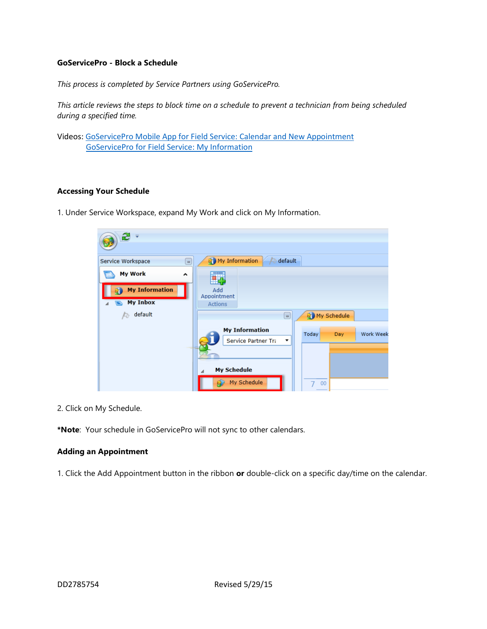## **GoServicePro - Block a Schedule**

*This process is completed by Service Partners using GoServicePro.*

*This article reviews the steps to block time on a schedule to prevent a technician from being scheduled during a specified time.*

Videos[: GoServicePro Mobile App for Field Service: Calendar and New Appointment](https://gm1.geolearning.com/geonext/daktronics/coursesummary.coursecatalog.geo?id=22507872141) [GoServicePro for Field Service: My Information](https://gm1.geolearning.com/geonext/daktronics/coursesummary.coursecatalog.geo?id=22507872142)

## **Accessing Your Schedule**

1. Under Service Workspace, expand My Work and click on My Information.



2. Click on My Schedule.

**\*Note**: Your schedule in GoServicePro will not sync to other calendars.

#### **Adding an Appointment**

1. Click the Add Appointment button in the ribbon **or** double-click on a specific day/time on the calendar.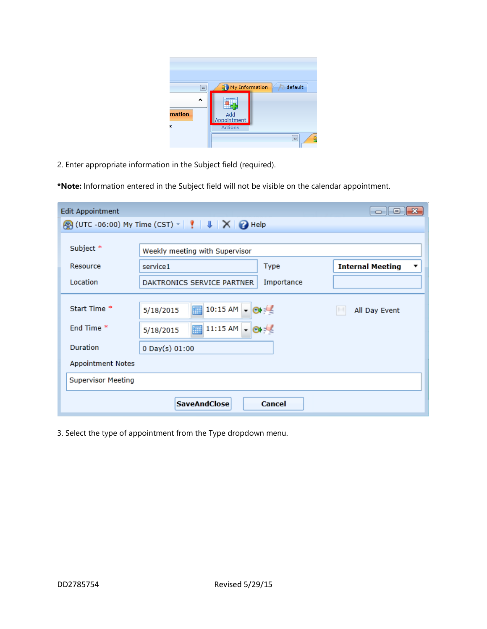| $\Box$      | My Information<br>default            |  |
|-------------|--------------------------------------|--|
| mation<br>ĸ | Add<br>Appointment<br><b>Actions</b> |  |
|             | $\Box$                               |  |

2. Enter appropriate information in the Subject field (required).

**\*Note:** Information entered in the Subject field will not be visible on the calendar appointment.

| <b>Edit Appointment</b><br>$\circ$ 0<br>-23 |                                          |                              |  |
|---------------------------------------------|------------------------------------------|------------------------------|--|
|                                             |                                          |                              |  |
|                                             |                                          |                              |  |
| Subject *                                   | Weekly meeting with Supervisor           |                              |  |
| Resource                                    | service1<br>Type                         | <b>Internal Meeting</b><br>▼ |  |
| Location                                    | Importance<br>DAKTRONICS SERVICE PARTNER |                              |  |
|                                             |                                          |                              |  |
| Start Time *                                | 10:15 AM<br>5/18/2015<br>m               | All Day Event                |  |
| End Time *                                  | 11:15 AM<br>E<br>5/18/2015               |                              |  |
| Duration                                    | $0$ Day(s) $01:00$                       |                              |  |
| Appointment Notes                           |                                          |                              |  |
| <b>Supervisor Meeting</b>                   |                                          |                              |  |
|                                             | <b>SaveAndClose</b><br>Cancel            |                              |  |

3. Select the type of appointment from the Type dropdown menu.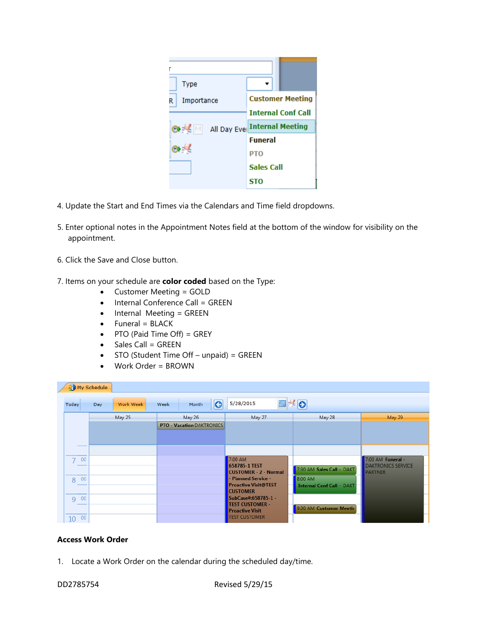| <b>Type</b>     |                              |                         |  |
|-----------------|------------------------------|-------------------------|--|
| Importance<br>R |                              | <b>Customer Meeting</b> |  |
|                 | <b>Internal Conf Call</b>    |                         |  |
| $\frac{1}{2}$   | All Day Eve Internal Meeting |                         |  |
|                 | <b>Funeral</b>               |                         |  |
|                 | <b>PTO</b>                   |                         |  |
|                 | Sales Call                   |                         |  |
|                 | STO                          |                         |  |

- 4. Update the Start and End Times via the Calendars and Time field dropdowns.
- 5. Enter optional notes in the Appointment Notes field at the bottom of the window for visibility on the appointment.
- 6. Click the Save and Close button.
- 7. Items on your schedule are **color coded** based on the Type:
	- Customer Meeting = GOLD
	- Internal Conference Call = GREEN
	- Internal Meeting = GREEN
	- Funeral = BLACK
	- PTO (Paid Time Off) = GREY
	- Sales Call = GREEN
	- STO (Student Time Off unpaid) = GREEN
	- Work Order = BROWN

| My Schedule |                  |                                  |                                                          |                                  |                                                                  |
|-------------|------------------|----------------------------------|----------------------------------------------------------|----------------------------------|------------------------------------------------------------------|
| Today       | Work Week<br>Day | $\bullet$<br>Month<br>Week       | 5/28/2015                                                | ■≤⊙                              |                                                                  |
|             | May 25           | May 26                           | May 27                                                   | May 28                           | <b>May 29</b>                                                    |
|             |                  | <b>PTO - Vacation DAKTRONICS</b> |                                                          |                                  |                                                                  |
|             |                  |                                  |                                                          |                                  |                                                                  |
|             |                  |                                  |                                                          |                                  |                                                                  |
| 00          |                  |                                  | 7:00 AM<br>658785-1 TEST<br><b>CUSTOMER - 2 - Normal</b> | 7:30 AM Sales Call - DAKT        | 7:00 AM Funeral -<br><b>DAKTRONICS SERVICE</b><br><b>PARTNER</b> |
| 00<br>8     |                  |                                  | - Planned Service -                                      | 8:00 AM                          |                                                                  |
|             |                  |                                  | <b>Proactive Visit@TEST</b><br><b>CUSTOMER</b>           | <b>Internal Conf Call - DAKT</b> |                                                                  |
| 00<br>Q     |                  |                                  | SubCase#:658785-1 -<br><b>TEST CUSTOMER -</b>            |                                  |                                                                  |
|             |                  |                                  | <b>Proactive Visit</b>                                   | 9:30 AM Customer Meetir          |                                                                  |
| 00<br>10    |                  |                                  | <b>TEST CUSTOMER</b>                                     |                                  |                                                                  |

#### **Access Work Order**

1. Locate a Work Order on the calendar during the scheduled day/time.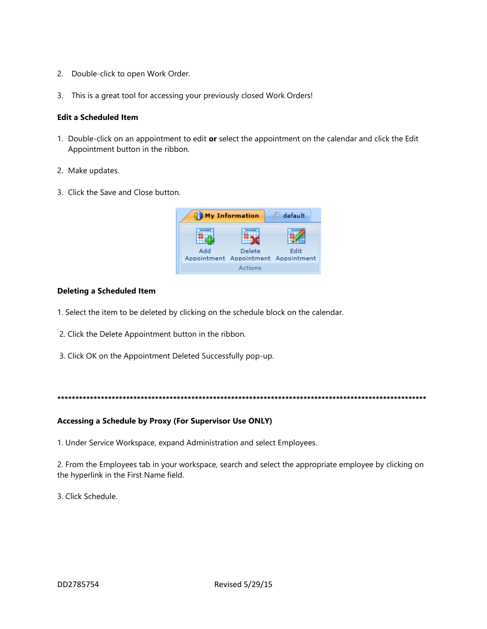- 2. Double-click to open Work Order.
- 3. This is a great tool for accessing your previously closed Work Orders!

## **Edit a Scheduled Item**

- 1. Double-click on an appointment to edit or select the appointment on the calendar and click the Edit Appointment button in the ribbon.
- 2. Make updates.
- 3. Click the Save and Close button.



# **Deleting a Scheduled Item**

- 1. Select the item to be deleted by clicking on the schedule block on the calendar.
- 2. Click the Delete Appointment button in the ribbon.
- 3. Click OK on the Appointment Deleted Successfully pop-up.

## Accessing a Schedule by Proxy (For Supervisor Use ONLY)

1. Under Service Workspace, expand Administration and select Employees.

2. From the Employees tab in your workspace, search and select the appropriate employee by clicking on the hyperlink in the First Name field.

3. Click Schedule.